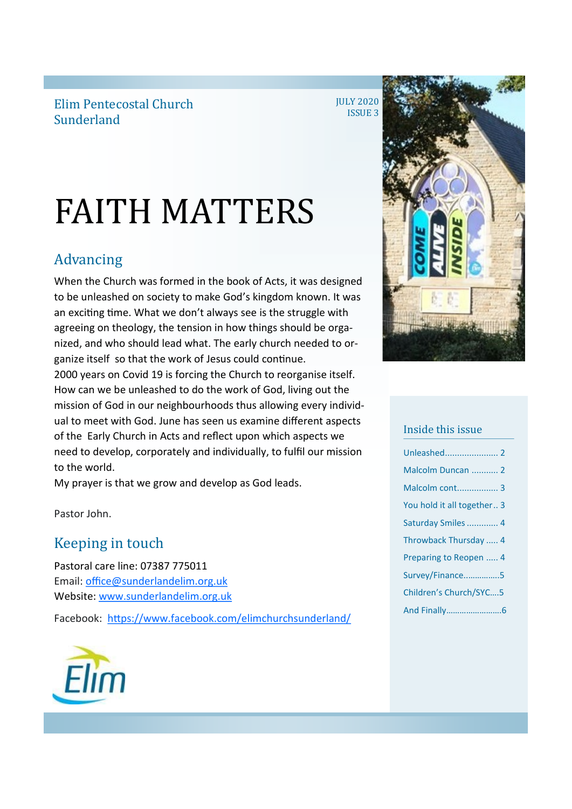Elim Pentecostal Church Sunderland

JULY 2020 ISSUE 3

# FAITH MATTERS

## Advancing

When the Church was formed in the book of Acts, it was designed to be unleashed on society to make God's kingdom known. It was an exciting time. What we don't always see is the struggle with agreeing on theology, the tension in how things should be organized, and who should lead what. The early church needed to organize itself so that the work of Jesus could continue.

2000 years on Covid 19 is forcing the Church to reorganise itself. How can we be unleashed to do the work of God, living out the mission of God in our neighbourhoods thus allowing every individual to meet with God. June has seen us examine different aspects of the Early Church in Acts and reflect upon which aspects we need to develop, corporately and individually, to fulfil our mission to the world.

My prayer is that we grow and develop as God leads.

Pastor John.

## Keeping in touch

Pastoral care line: 07387 775011 Email: [office@sunderlandelim.org.uk](about:blank) Website: [www.sunderlandelim.org.uk](http://www.sunderlandelim.org.uk)

Facebook: [https://www.facebook.com/elimchurchsunderland/](about:blank)





### Inside this issue

| Unleashed 2                |
|----------------------------|
| Malcolm Duncan  2          |
| Malcolm cont 3             |
| You hold it all together 3 |
| Saturday Smiles  4         |
| Throwback Thursday  4      |
| Preparing to Reopen  4     |
| Survey/Finance5            |
| Children's Church/SYC5     |
|                            |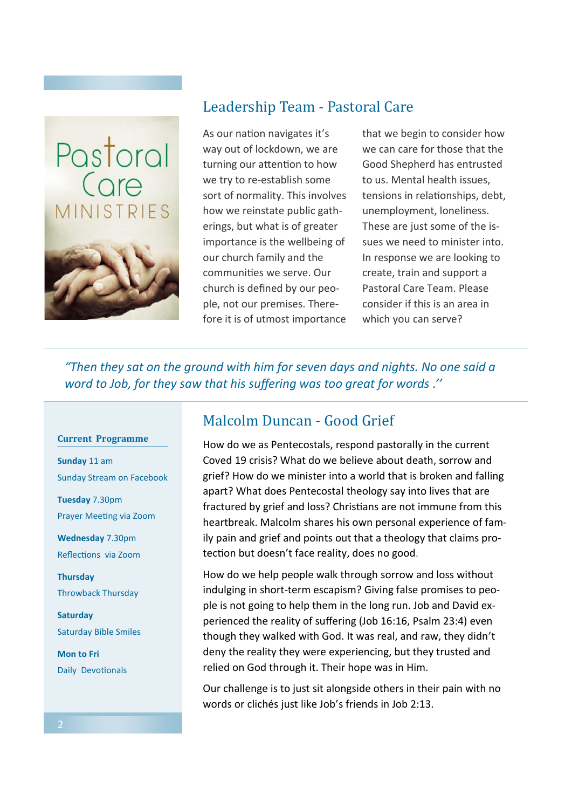## Pastoral Guion **MINISTRIES**



## Leadership Team - Pastoral Care

As our nation navigates it's way out of lockdown, we are turning our attention to how we try to re-establish some sort of normality. This involves how we reinstate public gatherings, but what is of greater importance is the wellbeing of our church family and the communities we serve. Our church is defined by our people, not our premises. Therefore it is of utmost importance that we begin to consider how we can care for those that the Good Shepherd has entrusted to us. Mental health issues, tensions in relationships, debt, unemployment, loneliness. These are just some of the issues we need to minister into. In response we are looking to create, train and support a Pastoral Care Team. Please consider if this is an area in which you can serve?

*"Then they sat on the ground with him for seven days and nights. No one said a word to Job, for they saw that his suffering was too great for words .''*

#### **Current Programme**

**Sunday** 11 am Sunday Stream on Facebook

**Tuesday** 7.30pm Prayer Meeting via Zoom

**Wednesday** 7.30pm Reflections via Zoom

**Thursday**  Throwback Thursday

**Saturday**  Saturday Bible Smiles

**Mon to Fri**  Daily Devotionals

## Malcolm Duncan - Good Grief

How do we as Pentecostals, respond pastorally in the current Coved 19 crisis? What do we believe about death, sorrow and grief? How do we minister into a world that is broken and falling apart? What does Pentecostal theology say into lives that are fractured by grief and loss? Christians are not immune from this heartbreak. Malcolm shares his own personal experience of family pain and grief and points out that a theology that claims protection but doesn't face reality, does no good.

How do we help people walk through sorrow and loss without indulging in short-term escapism? Giving false promises to people is not going to help them in the long run. Job and David experienced the reality of suffering (Job 16:16, Psalm 23:4) even though they walked with God. It was real, and raw, they didn't deny the reality they were experiencing, but they trusted and relied on God through it. Their hope was in Him.

Our challenge is to just sit alongside others in their pain with no words or clichés just like Job's friends in Job 2:13.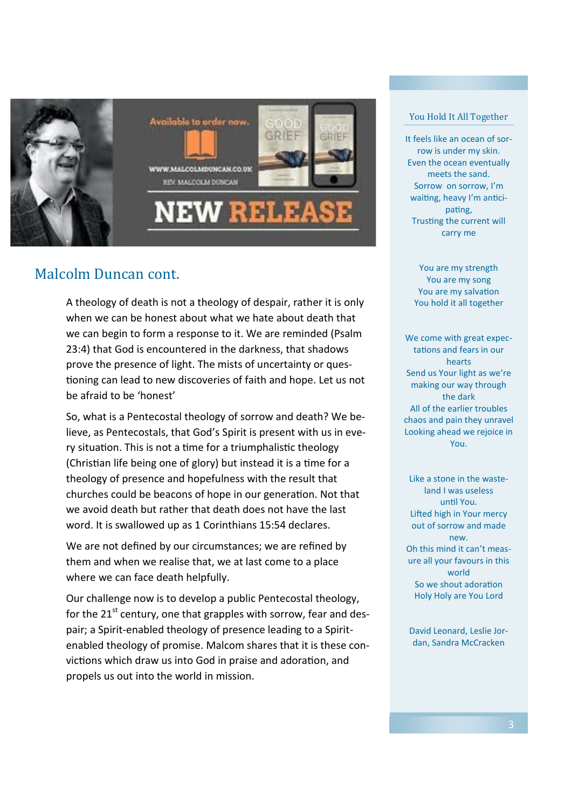

## Malcolm Duncan cont.

A theology of death is not a theology of despair, rather it is only when we can be honest about what we hate about death that we can begin to form a response to it. We are reminded (Psalm 23:4) that God is encountered in the darkness, that shadows prove the presence of light. The mists of uncertainty or questioning can lead to new discoveries of faith and hope. Let us not be afraid to be 'honest'

So, what is a Pentecostal theology of sorrow and death? We believe, as Pentecostals, that God's Spirit is present with us in every situation. This is not a time for a triumphalistic theology (Christian life being one of glory) but instead it is a time for a theology of presence and hopefulness with the result that churches could be beacons of hope in our generation. Not that we avoid death but rather that death does not have the last word. It is swallowed up as 1 Corinthians 15:54 declares.

We are not defined by our circumstances; we are refined by them and when we realise that, we at last come to a place where we can face death helpfully.

Our challenge now is to develop a public Pentecostal theology, for the  $21^{st}$  century, one that grapples with sorrow, fear and despair; a Spirit-enabled theology of presence leading to a Spiritenabled theology of promise. Malcom shares that it is these convictions which draw us into God in praise and adoration, and propels us out into the world in mission.

### You Hold It All Together

It feels like an ocean of sorrow is under my skin. Even the ocean eventually meets the sand. Sorrow on sorrow, I'm waiting, heavy I'm anticipating, Trusting the current will carry me

You are my strength You are my song You are my salvation You hold it all together

We come with great expectations and fears in our hearts Send us Your light as we're making our way through the dark All of the earlier troubles chaos and pain they unravel Looking ahead we rejoice in You.

Like a stone in the wasteland I was useless until You. Lifted high in Your mercy out of sorrow and made new. Oh this mind it can't measure all your favours in this world So we shout adoration Holy Holy are You Lord

David Leonard, Leslie Jordan, Sandra McCracken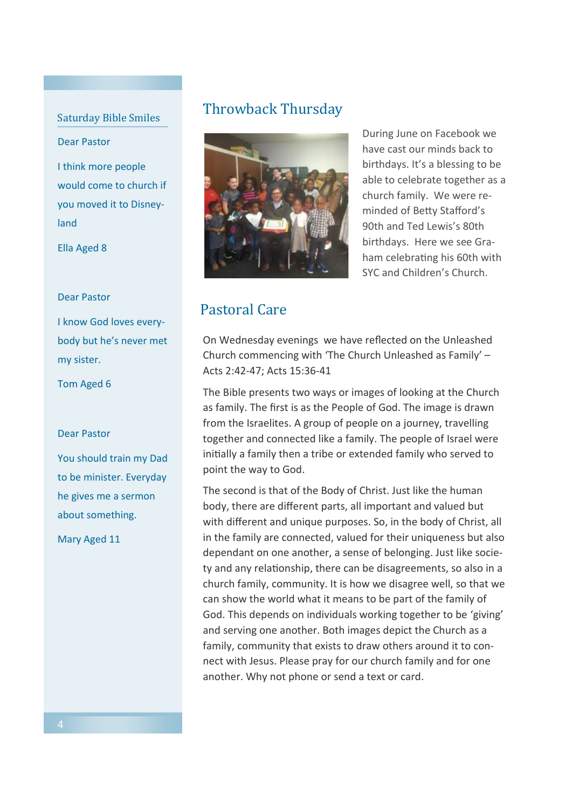### Saturday Bible Smiles

Dear Pastor

I think more people would come to church if you moved it to Disneyland

Ella Aged 8

### Dear Pastor

I know God loves everybody but he's never met my sister.

Tom Aged 6

#### Dear Pastor

You should train my Dad to be minister. Everyday he gives me a sermon about something.

Mary Aged 11

## Throwback Thursday



During June on Facebook we have cast our minds back to birthdays. It's a blessing to be able to celebrate together as a church family. We were reminded of Betty Stafford's 90th and Ted Lewis's 80th birthdays. Here we see Graham celebrating his 60th with SYC and Children's Church. 

## Pastoral Care

On Wednesday evenings we have reflected on the Unleashed Church commencing with 'The Church Unleashed as Family' – Acts 2:42-47; Acts 15:36-41

The Bible presents two ways or images of looking at the Church as family. The first is as the People of God. The image is drawn from the Israelites. A group of people on a journey, travelling together and connected like a family. The people of Israel were initially a family then a tribe or extended family who served to point the way to God.

The second is that of the Body of Christ. Just like the human body, there are different parts, all important and valued but with different and unique purposes. So, in the body of Christ, all in the family are connected, valued for their uniqueness but also dependant on one another, a sense of belonging. Just like society and any relationship, there can be disagreements, so also in a church family, community. It is how we disagree well, so that we can show the world what it means to be part of the family of God. This depends on individuals working together to be 'giving' and serving one another. Both images depict the Church as a family, community that exists to draw others around it to connect with Jesus. Please pray for our church family and for one another. Why not phone or send a text or card.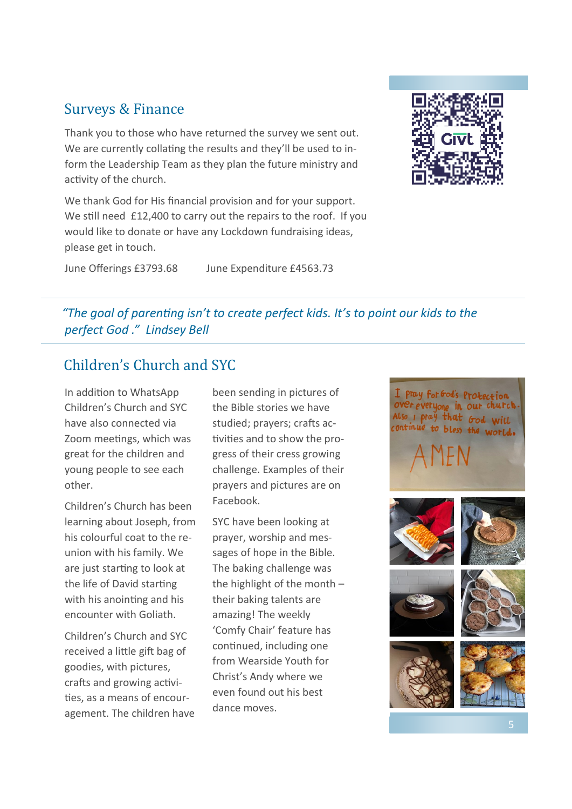## Surveys & Finance

Thank you to those who have returned the survey we sent out. We are currently collating the results and they'll be used to inform the Leadership Team as they plan the future ministry and activity of the church.

We thank God for His financial provision and for your support. We still need £12,400 to carry out the repairs to the roof. If you would like to donate or have any Lockdown fundraising ideas, please get in touch.

June Offerings £3793.68 June Expenditure £4563.73

## *"The goal of parenting isn't to create perfect kids. It's to point our kids to the perfect God ." Lindsey Bell*

## Children's Church and SYC

In addition to WhatsApp Children's Church and SYC have also connected via Zoom meetings, which was great for the children and young people to see each other.

Children's Church has been learning about Joseph, from his colourful coat to the reunion with his family. We are just starting to look at the life of David starting with his anointing and his encounter with Goliath.

Children's Church and SYC received a little gift bag of goodies, with pictures, crafts and growing activities, as a means of encouragement. The children have

been sending in pictures of the Bible stories we have studied; prayers; crafts activities and to show the progress of their cress growing challenge. Examples of their prayers and pictures are on Facebook.

SYC have been looking at prayer, worship and messages of hope in the Bible. The baking challenge was the highlight of the month – their baking talents are amazing! The weekly 'Comfy Chair' feature has continued, including one from Wearside Youth for Christ's Andy where we even found out his best dance moves.